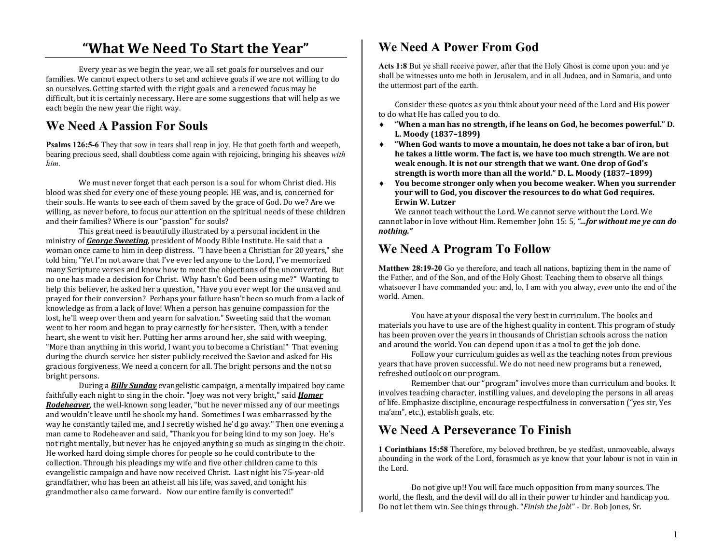# **"What We Need To Start the Year"**

Every year as we begin the year, we all set goals for ourselves and our families. We cannot expect others to set and achieve goals if we are not willing to do so ourselves. Getting started with the right goals and a renewed focus may be difficult, but it is certainly necessary. Here are some suggestions that will help as we each begin the new year the right way.

## **We Need A Passion For Souls**

**Psalms 126:5-6** They that sow in tears shall reap in joy. He that goeth forth and weepeth, bearing precious seed, shall doubtless come again with rejoicing, bringing his sheaves *with him*.

We must never forget that each person is a soul for whom Christ died. His blood was shed for every one of these young people. HE was, and is, concerned for their souls. He wants to see each of them saved by the grace of God. Do we? Are we willing, as never before, to focus our attention on the spiritual needs of these children and their families? Where is our "passion" for souls?

 This great need is beautifully illustrated by a personal incident in the ministry of *George Sweeting*, president of Moody Bible Institute. He said that a woman once came to him in deep distress. "I have been a Christian for 20 years," she told him, "Yet I'm not aware that I've ever led anyone to the Lord, I've memorized many Scripture verses and know how to meet the objections of the unconverted. But no one has made a decision for Christ. Why hasn't God been using me?" Wanting to help this believer, he asked her a question, "Have you ever wept for the unsaved and prayed for their conversion? Perhaps your failure hasn't been so much from a lack of knowledge as from a lack of love! When a person has genuine compassion for the lost, he'll weep over them and yearn for salvation." Sweeting said that the woman went to her room and began to pray earnestly for her sister. Then, with a tender heart, she went to visit her. Putting her arms around her, she said with weeping, "More than anything in this world, I want you to become a Christian!" That evening during the church service her sister publicly received the Savior and asked for His gracious forgiveness. We need a concern for all. The bright persons and the not so bright persons.

 During a *Billy Sunday* evangelistic campaign, a mentally impaired boy came faithfully each night to sing in the choir. "Joey was not very bright," said *Homer Rodeheaver*, the well-known song leader, "but he never missed any of our meetings and wouldn't leave until he shook my hand. Sometimes I was embarrassed by the way he constantly tailed me, and I secretly wished he'd go away." Then one evening a man came to Rodeheaver and said, "Thank you for being kind to my son Joey. He's not right mentally, but never has he enjoyed anything so much as singing in the choir. He worked hard doing simple chores for people so he could contribute to the collection. Through his pleadings my wife and five other children came to this evangelistic campaign and have now received Christ. Last night his 75-year-old grandfather, who has been an atheist all his life, was saved, and tonight his grandmother also came forward. Now our entire family is converted!"

## **We Need A Power From God**

**Acts 1:8** But ye shall receive power, after that the Holy Ghost is come upon you: and ye shall be witnesses unto me both in Jerusalem, and in all Judaea, and in Samaria, and unto the uttermost part of the earth.

Consider these quotes as you think about your need of the Lord and His power to do what He has called you to do.

- **"When a man has no strength, if he leans on God, he becomes powerful." D.**  ♦**L. Moody (1837–1899)**
- **"When God wants to move a mountain, he does not take a bar of iron, but**  ♦**he takes a little worm. The fact is, we have too much strength. We are not weak enough. It is not our strength that we want. One drop of God's strength is worth more than all the world." D. L. Moody (1837–1899)**
- **You become stronger only when you become weaker. When you surrender**  ♦**your will to God, you discover the resources to do what God requires. Erwin W. Lutzer**

 We cannot teach without the Lord. We cannot serve without the Lord. We cannot labor in love without Him. Remember John 15: 5, *"...for without me ye can do nothing."*

#### **We Need A Program To Follow**

**Matthew 28:19-20** Go ye therefore, and teach all nations, baptizing them in the name of the Father, and of the Son, and of the Holy Ghost: Teaching them to observe all things whatsoever I have commanded you: and, lo, I am with you alway, *even* unto the end of the world. Amen.

You have at your disposal the very best in curriculum. The books and materials you have to use are of the highest quality in content. This program of study has been proven over the years in thousands of Christian schools across the nation and around the world. You can depend upon it as a tool to get the job done.

 Follow your curriculum guides as well as the teaching notes from previous years that have proven successful. We do not need new programs but a renewed, refreshed outlook on our program.

 Remember that our "program" involves more than curriculum and books. It involves teaching character, instilling values, and developing the persons in all areas of life. Emphasize discipline, encourage respectfulness in conversation ("yes sir, Yes ma'am", etc.), establish goals, etc.

## **We Need A Perseverance To Finish**

**1 Corinthians 15:58** Therefore, my beloved brethren, be ye stedfast, unmoveable, always abounding in the work of the Lord, forasmuch as ye know that your labour is not in vain in the Lord.

Do not give up!! You will face much opposition from many sources. The world, the flesh, and the devil will do all in their power to hinder and handicap you. Do not let them win. See things through. "*Finish the Job*!" - Dr. Bob Jones, Sr.